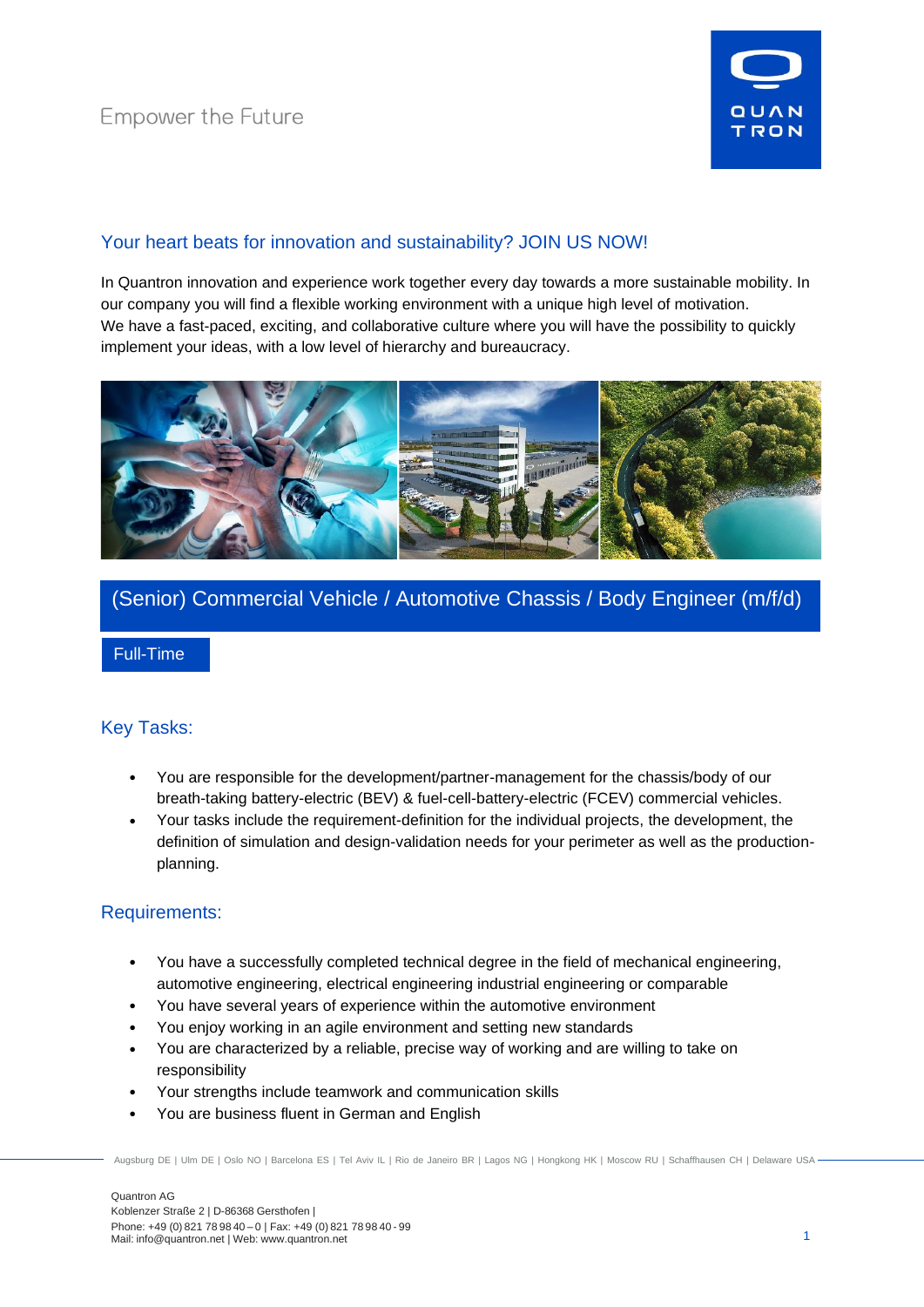

## Your heart beats for innovation and sustainability? JOIN US NOW!

In Quantron innovation and experience work together every day towards a more sustainable mobility. In our company you will find a flexible working environment with a unique high level of motivation. We have a fast-paced, exciting, and collaborative culture where you will have the possibility to quickly implement your ideas, with a low level of hierarchy and bureaucracy.



# (Senior) Commercial Vehicle / Automotive Chassis / Body Engineer (m/f/d)

Full-Time

### Key Tasks:

- You are responsible for the development/partner-management for the chassis/body of our breath-taking battery-electric (BEV) & fuel-cell-battery-electric (FCEV) commercial vehicles.
- Your tasks include the requirement-definition for the individual projects, the development, the definition of simulation and design-validation needs for your perimeter as well as the productionplanning.

### Requirements:

- You have a successfully completed technical degree in the field of mechanical engineering, automotive engineering, electrical engineering industrial engineering or comparable
- You have several years of experience within the automotive environment
- You enjoy working in an agile environment and setting new standards
- You are characterized by a reliable, precise way of working and are willing to take on responsibility
- Your strengths include teamwork and communication skills
- You are business fluent in German and English

Augsburg DE | Ulm DE | Oslo NO | Barcelona ES | Tel Aviv IL | Rio de Janeiro BR | Lagos NG | Hongkong HK | Moscow RU | Schaffhausen CH | Delaware USA